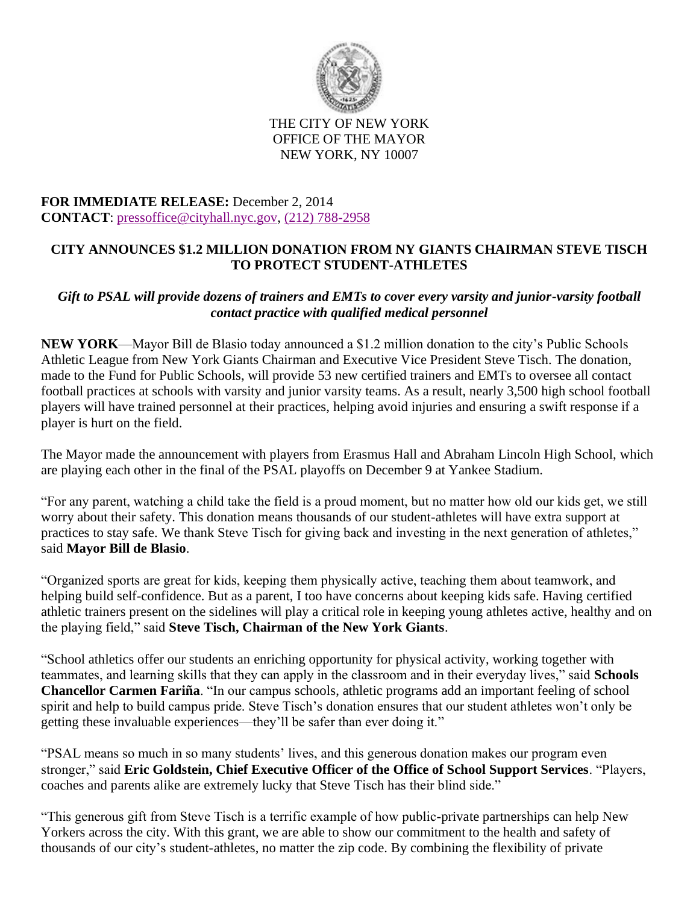

## THE CITY OF NEW YORK OFFICE OF THE MAYOR NEW YORK, NY 10007

## **FOR IMMEDIATE RELEASE:** December 2, 2014 **CONTACT**: [pressoffice@cityhall.nyc.gov,](mailto:pressoffice@cityhall.nyc.gov) [\(212\) 788-2958](tel:%28212%29%20788-2958)

## **CITY ANNOUNCES \$1.2 MILLION DONATION FROM NY GIANTS CHAIRMAN STEVE TISCH TO PROTECT STUDENT-ATHLETES**

## *Gift to PSAL will provide dozens of trainers and EMTs to cover every varsity and junior-varsity football contact practice with qualified medical personnel*

**NEW YORK**—Mayor Bill de Blasio today announced a \$1.2 million donation to the city's Public Schools Athletic League from New York Giants Chairman and Executive Vice President Steve Tisch. The donation, made to the Fund for Public Schools, will provide 53 new certified trainers and EMTs to oversee all contact football practices at schools with varsity and junior varsity teams. As a result, nearly 3,500 high school football players will have trained personnel at their practices, helping avoid injuries and ensuring a swift response if a player is hurt on the field.

The Mayor made the announcement with players from Erasmus Hall and Abraham Lincoln High School, which are playing each other in the final of the PSAL playoffs on December 9 at Yankee Stadium.

"For any parent, watching a child take the field is a proud moment, but no matter how old our kids get, we still worry about their safety. This donation means thousands of our student-athletes will have extra support at practices to stay safe. We thank Steve Tisch for giving back and investing in the next generation of athletes," said **Mayor Bill de Blasio**.

"Organized sports are great for kids, keeping them physically active, teaching them about teamwork, and helping build self-confidence. But as a parent, I too have concerns about keeping kids safe. Having certified athletic trainers present on the sidelines will play a critical role in keeping young athletes active, healthy and on the playing field," said **Steve Tisch, Chairman of the New York Giants**.

"School athletics offer our students an enriching opportunity for physical activity, working together with teammates, and learning skills that they can apply in the classroom and in their everyday lives," said **Schools Chancellor Carmen Fariña**. "In our campus schools, athletic programs add an important feeling of school spirit and help to build campus pride. Steve Tisch's donation ensures that our student athletes won't only be getting these invaluable experiences—they'll be safer than ever doing it."

"PSAL means so much in so many students' lives, and this generous donation makes our program even stronger," said **Eric Goldstein, Chief Executive Officer of the Office of School Support Services**. "Players, coaches and parents alike are extremely lucky that Steve Tisch has their blind side."

"This generous gift from Steve Tisch is a terrific example of how public-private partnerships can help New Yorkers across the city. With this grant, we are able to show our commitment to the health and safety of thousands of our city's student-athletes, no matter the zip code. By combining the flexibility of private